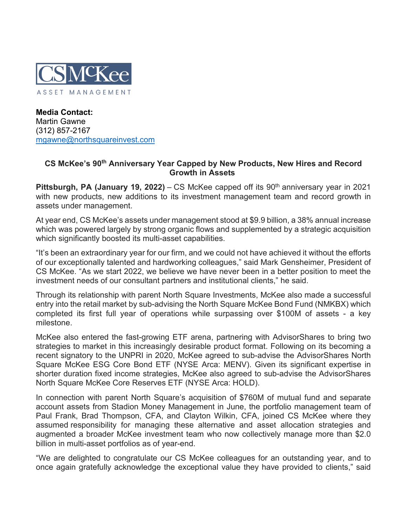

**Media Contact:** Martin Gawne (312) 857-2167 [mgawne@northsquareinvest.com](mailto:mgawne@northsquareinvest.com)

## **CS McKee's 90th Anniversary Year Capped by New Products, New Hires and Record Growth in Assets**

**Pittsburgh, PA (January 19, 2022)** – CS McKee capped off its 90<sup>th</sup> anniversary year in 2021 with new products, new additions to its investment management team and record growth in assets under management.

At year end, CS McKee's assets under management stood at \$9.9 billion, a 38% annual increase which was powered largely by strong organic flows and supplemented by a strategic acquisition which significantly boosted its multi-asset capabilities.

"It's been an extraordinary year for our firm, and we could not have achieved it without the efforts of our exceptionally talented and hardworking colleagues," said Mark Gensheimer, President of CS McKee. "As we start 2022, we believe we have never been in a better position to meet the investment needs of our consultant partners and institutional clients," he said.

Through its relationship with parent North Square Investments, McKee also made a successful entry into the retail market by sub-advising the North Square McKee Bond Fund (NMKBX) which completed its first full year of operations while surpassing over \$100M of assets - a key milestone.

McKee also entered the fast-growing ETF arena, partnering with AdvisorShares to bring two strategies to market in this increasingly desirable product format. Following on its becoming a recent signatory to the UNPRI in 2020, McKee agreed to sub-advise the AdvisorShares North Square McKee ESG Core Bond ETF (NYSE Arca: MENV). Given its significant expertise in shorter duration fixed income strategies, McKee also agreed to sub-advise the AdvisorShares North Square McKee Core Reserves ETF (NYSE Arca: HOLD).

In connection with parent North Square's acquisition of \$760M of mutual fund and separate account assets from Stadion Money Management in June, the portfolio management team of Paul Frank, Brad Thompson, CFA, and Clayton Wilkin, CFA, joined CS McKee where they assumed responsibility for managing these alternative and asset allocation strategies and augmented a broader McKee investment team who now collectively manage more than \$2.0 billion in multi-asset portfolios as of year-end.

"We are delighted to congratulate our CS McKee colleagues for an outstanding year, and to once again gratefully acknowledge the exceptional value they have provided to clients," said